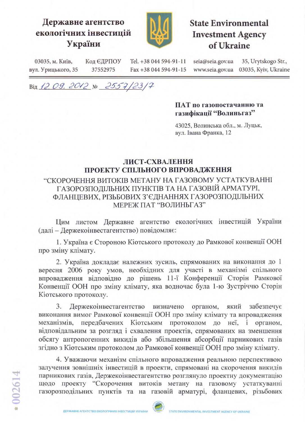## Державне агентство екологічних інвестицій України



# **State Environmental Investment Agency** of Ukraine

03035, м. Київ, Код ЄДРПОУ Tel. +38 044 594-91-11 seia@seia.gov.ua 35, Urytskogo Str., www.seia.gov.ua 03035, Kyiv, Ukraine вул. Урицького, 35 37552975 Fax +38 044 594-91-15

Від 12.09.2012 № 2557/23/7

#### ПАТ по газопостачанню та газифікації "Волиньгаз"

43025, Волинська обл., м. Луцьк, вул. Івана Франка, 12

### ЛИСТ-СХВАЛЕННЯ ПРОЕКТУ СПІЛЬНОГО ВПРОВАДЖЕННЯ

## "СКОРОЧЕННЯ ВИТОКІВ МЕТАНУ НА ГАЗОВОМУ УСТАТКУВАННІ ГАЗОРОЗПОДІЛЬНИХ ПУНКТІВ ТА НА ГАЗОВІЙ АРМАТУРІ, ФЛАНЦЕВИХ, РІЗЬБОВИХ З'ЄДНАННЯХ ГАЗОРОЗПОДІЛЬНИХ МЕРЕЖ ПАТ "ВОЛИНЬГАЗ"

Цим листом Державне агентство екологічних інвестицій України (далі - Держекоінвестагентство) повідомляє:

1. Україна є Стороною Кіотського протоколу до Рамкової конвенції ООН про зміну клімату.

2. Україна докладає належних зусиль, спрямованих на виконання до 1 вересня 2006 року умов, необхідних для участі в механізмі спільного впровадження відповідно до рішень 11-ї Конференції Сторін Рамкової Конвенції ООН про зміну клімату, яка водночас була 1-ю Зустріччю Сторін Кіотського протоколу.

3. Держекоінвестагентство визначено органом, який забезпечує виконання вимог Рамкової конвенції ООН про зміну клімату та впровадження механізмів, передбачених Кіотським протоколом до неї, і органом, відповідальним за розгляд і схвалення проектів, спрямованих на зменшення обсягу антропогенних викидів або збільшення абсорбції парникових газів згідно з Кіотським протоколом до Рамкової конвенції ООН про зміну клімату.

4. Уважаючи механізм спільного впровадження реальною перспективою залучення зовнішніх інвестицій в проекти, спрямовані на скорочення викидів парникових газів, Держекоінвестагентство розглянуло проектну документацію щодо проекту "Скорочення витоків метану на газовому устаткуванні газорозподільних пунктів та на газовій арматурі, фланцевих, різьбових